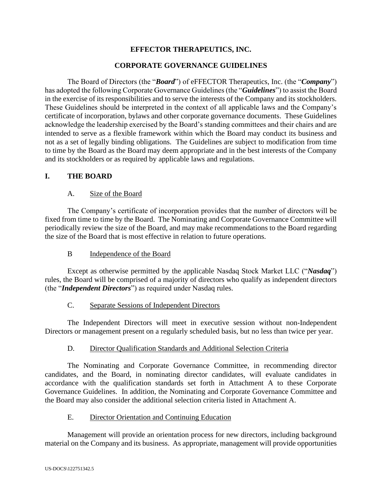# **EFFECTOR THERAPEUTICS, INC.**

## **CORPORATE GOVERNANCE GUIDELINES**

The Board of Directors (the "*Board*") of eFFECTOR Therapeutics, Inc. (the "*Company*") has adopted the following Corporate Governance Guidelines (the "*Guidelines*") to assist the Board in the exercise of its responsibilities and to serve the interests of the Company and its stockholders. These Guidelines should be interpreted in the context of all applicable laws and the Company's certificate of incorporation, bylaws and other corporate governance documents. These Guidelines acknowledge the leadership exercised by the Board's standing committees and their chairs and are intended to serve as a flexible framework within which the Board may conduct its business and not as a set of legally binding obligations. The Guidelines are subject to modification from time to time by the Board as the Board may deem appropriate and in the best interests of the Company and its stockholders or as required by applicable laws and regulations.

## **I. THE BOARD**

## A. Size of the Board

The Company's certificate of incorporation provides that the number of directors will be fixed from time to time by the Board. The Nominating and Corporate Governance Committee will periodically review the size of the Board, and may make recommendations to the Board regarding the size of the Board that is most effective in relation to future operations.

## B Independence of the Board

Except as otherwise permitted by the applicable Nasdaq Stock Market LLC ("*Nasdaq*") rules, the Board will be comprised of a majority of directors who qualify as independent directors (the "*Independent Directors*") as required under Nasdaq rules.

# C. Separate Sessions of Independent Directors

The Independent Directors will meet in executive session without non-Independent Directors or management present on a regularly scheduled basis, but no less than twice per year.

## D. Director Qualification Standards and Additional Selection Criteria

The Nominating and Corporate Governance Committee, in recommending director candidates, and the Board, in nominating director candidates, will evaluate candidates in accordance with the qualification standards set forth in Attachment A to these Corporate Governance Guidelines. In addition, the Nominating and Corporate Governance Committee and the Board may also consider the additional selection criteria listed in Attachment A.

## E. Director Orientation and Continuing Education

Management will provide an orientation process for new directors, including background material on the Company and its business. As appropriate, management will provide opportunities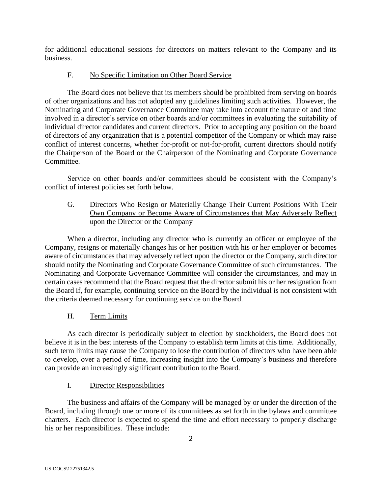for additional educational sessions for directors on matters relevant to the Company and its business.

# F. No Specific Limitation on Other Board Service

The Board does not believe that its members should be prohibited from serving on boards of other organizations and has not adopted any guidelines limiting such activities. However, the Nominating and Corporate Governance Committee may take into account the nature of and time involved in a director's service on other boards and/or committees in evaluating the suitability of individual director candidates and current directors. Prior to accepting any position on the board of directors of any organization that is a potential competitor of the Company or which may raise conflict of interest concerns, whether for-profit or not-for-profit, current directors should notify the Chairperson of the Board or the Chairperson of the Nominating and Corporate Governance Committee.

Service on other boards and/or committees should be consistent with the Company's conflict of interest policies set forth below.

G. Directors Who Resign or Materially Change Their Current Positions With Their Own Company or Become Aware of Circumstances that May Adversely Reflect upon the Director or the Company

When a director, including any director who is currently an officer or employee of the Company, resigns or materially changes his or her position with his or her employer or becomes aware of circumstances that may adversely reflect upon the director or the Company, such director should notify the Nominating and Corporate Governance Committee of such circumstances. The Nominating and Corporate Governance Committee will consider the circumstances, and may in certain cases recommend that the Board request that the director submit his or her resignation from the Board if, for example, continuing service on the Board by the individual is not consistent with the criteria deemed necessary for continuing service on the Board.

# H. Term Limits

As each director is periodically subject to election by stockholders, the Board does not believe it is in the best interests of the Company to establish term limits at this time. Additionally, such term limits may cause the Company to lose the contribution of directors who have been able to develop, over a period of time, increasing insight into the Company's business and therefore can provide an increasingly significant contribution to the Board.

# I. Director Responsibilities

The business and affairs of the Company will be managed by or under the direction of the Board, including through one or more of its committees as set forth in the bylaws and committee charters. Each director is expected to spend the time and effort necessary to properly discharge his or her responsibilities. These include: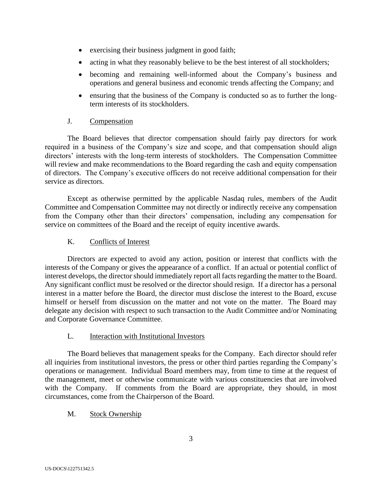- exercising their business judgment in good faith;
- acting in what they reasonably believe to be the best interest of all stockholders;
- becoming and remaining well-informed about the Company's business and operations and general business and economic trends affecting the Company; and
- ensuring that the business of the Company is conducted so as to further the longterm interests of its stockholders.

### J. Compensation

The Board believes that director compensation should fairly pay directors for work required in a business of the Company's size and scope, and that compensation should align directors' interests with the long-term interests of stockholders. The Compensation Committee will review and make recommendations to the Board regarding the cash and equity compensation of directors. The Company's executive officers do not receive additional compensation for their service as directors.

Except as otherwise permitted by the applicable Nasdaq rules, members of the Audit Committee and Compensation Committee may not directly or indirectly receive any compensation from the Company other than their directors' compensation, including any compensation for service on committees of the Board and the receipt of equity incentive awards.

## K. Conflicts of Interest

Directors are expected to avoid any action, position or interest that conflicts with the interests of the Company or gives the appearance of a conflict. If an actual or potential conflict of interest develops, the director should immediately report all facts regarding the matter to the Board. Any significant conflict must be resolved or the director should resign. If a director has a personal interest in a matter before the Board, the director must disclose the interest to the Board, excuse himself or herself from discussion on the matter and not vote on the matter. The Board may delegate any decision with respect to such transaction to the Audit Committee and/or Nominating and Corporate Governance Committee.

## L. Interaction with Institutional Investors

The Board believes that management speaks for the Company. Each director should refer all inquiries from institutional investors, the press or other third parties regarding the Company's operations or management. Individual Board members may, from time to time at the request of the management, meet or otherwise communicate with various constituencies that are involved with the Company. If comments from the Board are appropriate, they should, in most circumstances, come from the Chairperson of the Board.

## M. Stock Ownership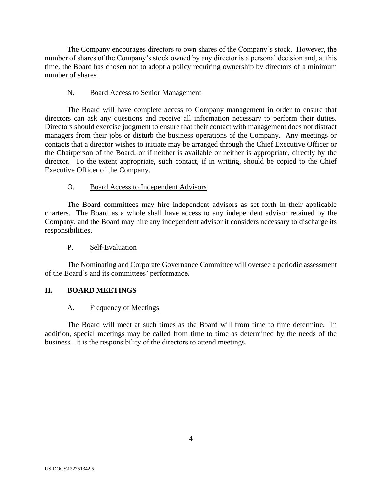The Company encourages directors to own shares of the Company's stock. However, the number of shares of the Company's stock owned by any director is a personal decision and, at this time, the Board has chosen not to adopt a policy requiring ownership by directors of a minimum number of shares.

## N. Board Access to Senior Management

The Board will have complete access to Company management in order to ensure that directors can ask any questions and receive all information necessary to perform their duties. Directors should exercise judgment to ensure that their contact with management does not distract managers from their jobs or disturb the business operations of the Company. Any meetings or contacts that a director wishes to initiate may be arranged through the Chief Executive Officer or the Chairperson of the Board, or if neither is available or neither is appropriate, directly by the director. To the extent appropriate, such contact, if in writing, should be copied to the Chief Executive Officer of the Company.

### O. Board Access to Independent Advisors

The Board committees may hire independent advisors as set forth in their applicable charters. The Board as a whole shall have access to any independent advisor retained by the Company, and the Board may hire any independent advisor it considers necessary to discharge its responsibilities.

#### P. Self-Evaluation

The Nominating and Corporate Governance Committee will oversee a periodic assessment of the Board's and its committees' performance.

#### **II. BOARD MEETINGS**

#### A. Frequency of Meetings

The Board will meet at such times as the Board will from time to time determine. In addition, special meetings may be called from time to time as determined by the needs of the business. It is the responsibility of the directors to attend meetings.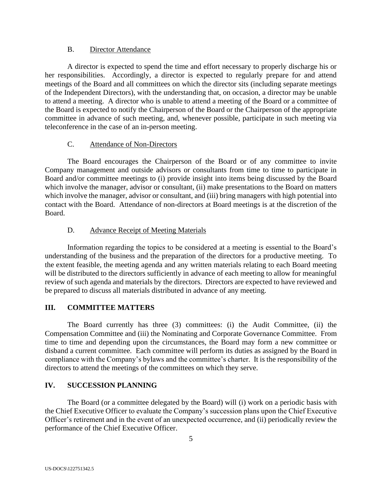### B. Director Attendance

A director is expected to spend the time and effort necessary to properly discharge his or her responsibilities. Accordingly, a director is expected to regularly prepare for and attend meetings of the Board and all committees on which the director sits (including separate meetings of the Independent Directors), with the understanding that, on occasion, a director may be unable to attend a meeting. A director who is unable to attend a meeting of the Board or a committee of the Board is expected to notify the Chairperson of the Board or the Chairperson of the appropriate committee in advance of such meeting, and, whenever possible, participate in such meeting via teleconference in the case of an in-person meeting.

## C. Attendance of Non-Directors

The Board encourages the Chairperson of the Board or of any committee to invite Company management and outside advisors or consultants from time to time to participate in Board and/or committee meetings to (i) provide insight into items being discussed by the Board which involve the manager, advisor or consultant, (ii) make presentations to the Board on matters which involve the manager, advisor or consultant, and (iii) bring managers with high potential into contact with the Board. Attendance of non-directors at Board meetings is at the discretion of the Board.

## D. Advance Receipt of Meeting Materials

Information regarding the topics to be considered at a meeting is essential to the Board's understanding of the business and the preparation of the directors for a productive meeting. To the extent feasible, the meeting agenda and any written materials relating to each Board meeting will be distributed to the directors sufficiently in advance of each meeting to allow for meaningful review of such agenda and materials by the directors. Directors are expected to have reviewed and be prepared to discuss all materials distributed in advance of any meeting.

# **III. COMMITTEE MATTERS**

The Board currently has three (3) committees: (i) the Audit Committee, (ii) the Compensation Committee and (iii) the Nominating and Corporate Governance Committee. From time to time and depending upon the circumstances, the Board may form a new committee or disband a current committee. Each committee will perform its duties as assigned by the Board in compliance with the Company's bylaws and the committee's charter. It is the responsibility of the directors to attend the meetings of the committees on which they serve.

## **IV. SUCCESSION PLANNING**

The Board (or a committee delegated by the Board) will (i) work on a periodic basis with the Chief Executive Officer to evaluate the Company's succession plans upon the Chief Executive Officer's retirement and in the event of an unexpected occurrence, and (ii) periodically review the performance of the Chief Executive Officer.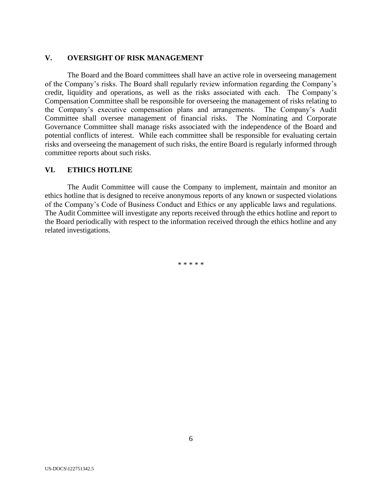### **V. OVERSIGHT OF RISK MANAGEMENT**

The Board and the Board committees shall have an active role in overseeing management of the Company's risks. The Board shall regularly review information regarding the Company's credit, liquidity and operations, as well as the risks associated with each. The Company's Compensation Committee shall be responsible for overseeing the management of risks relating to the Company's executive compensation plans and arrangements. The Company's Audit Committee shall oversee management of financial risks. The Nominating and Corporate Governance Committee shall manage risks associated with the independence of the Board and potential conflicts of interest. While each committee shall be responsible for evaluating certain risks and overseeing the management of such risks, the entire Board is regularly informed through committee reports about such risks.

### **VI. ETHICS HOTLINE**

The Audit Committee will cause the Company to implement, maintain and monitor an ethics hotline that is designed to receive anonymous reports of any known or suspected violations of the Company's Code of Business Conduct and Ethics or any applicable laws and regulations. The Audit Committee will investigate any reports received through the ethics hotline and report to the Board periodically with respect to the information received through the ethics hotline and any related investigations.

\* \* \* \* \*